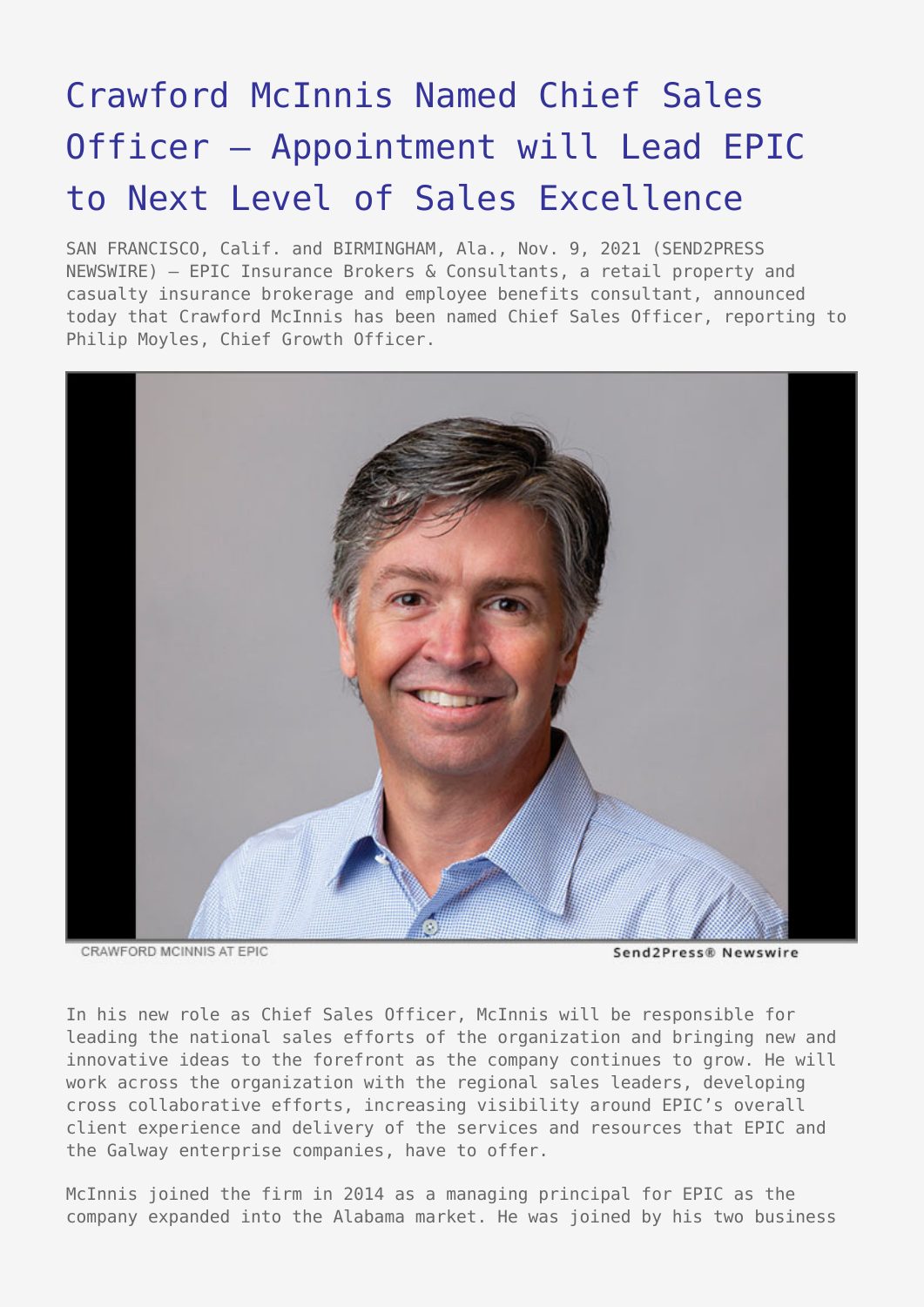# [Crawford McInnis Named Chief Sales](https://www.send2press.com/wire/crawford-mcinnis-named-chief-sales-officer-appointment-will-lead-epic-to-next-level-of-sales-excellence/) [Officer – Appointment will Lead EPIC](https://www.send2press.com/wire/crawford-mcinnis-named-chief-sales-officer-appointment-will-lead-epic-to-next-level-of-sales-excellence/) [to Next Level of Sales Excellence](https://www.send2press.com/wire/crawford-mcinnis-named-chief-sales-officer-appointment-will-lead-epic-to-next-level-of-sales-excellence/)

SAN FRANCISCO, Calif. and BIRMINGHAM, Ala., Nov. 9, 2021 (SEND2PRESS NEWSWIRE) — EPIC Insurance Brokers & Consultants, a retail property and casualty insurance brokerage and employee benefits consultant, announced today that Crawford McInnis has been named Chief Sales Officer, reporting to Philip Moyles, Chief Growth Officer.



CRAWFORD MCINNIS AT EPIC

Send2Press® Newswire

In his new role as Chief Sales Officer, McInnis will be responsible for leading the national sales efforts of the organization and bringing new and innovative ideas to the forefront as the company continues to grow. He will work across the organization with the regional sales leaders, developing cross collaborative efforts, increasing visibility around EPIC's overall client experience and delivery of the services and resources that EPIC and the Galway enterprise companies, have to offer.

McInnis joined the firm in 2014 as a managing principal for EPIC as the company expanded into the Alabama market. He was joined by his two business